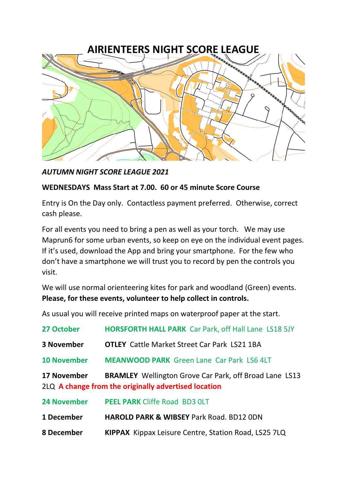

*AUTUMN NIGHT SCORE LEAGUE 2021*

## **WEDNESDAYS Mass Start at 7.00. 60 or 45 minute Score Course**

Entry is On the Day only. Contactless payment preferred. Otherwise, correct cash please.

For all events you need to bring a pen as well as your torch. We may use Maprun6 for some urban events, so keep on eye on the individual event pages. If it's used, download the App and bring your smartphone. For the few who don't have a smartphone we will trust you to record by pen the controls you visit.

We will use normal orienteering kites for park and woodland (Green) events. **Please, for these events, volunteer to help collect in controls.** 

As usual you will receive printed maps on waterproof paper at the start.

| 27 October         | <b>HORSFORTH HALL PARK</b> Car Park, off Hall Lane LS18 5JY                                                           |
|--------------------|-----------------------------------------------------------------------------------------------------------------------|
| <b>3 November</b>  | <b>OTLEY</b> Cattle Market Street Car Park LS21 1BA                                                                   |
| <b>10 November</b> | <b>MEANWOOD PARK</b> Green Lane Car Park LS6 4LT                                                                      |
| <b>17 November</b> | <b>BRAMLEY</b> Wellington Grove Car Park, off Broad Lane LS13<br>2LQ A change from the originally advertised location |
| <b>24 November</b> | <b>PEEL PARK Cliffe Road BD3 OLT</b>                                                                                  |
| 1 December         | <b>HAROLD PARK &amp; WIBSEY Park Road. BD12 ODN</b>                                                                   |
| 8 December         | KIPPAX Kippax Leisure Centre, Station Road, LS25 7LQ                                                                  |